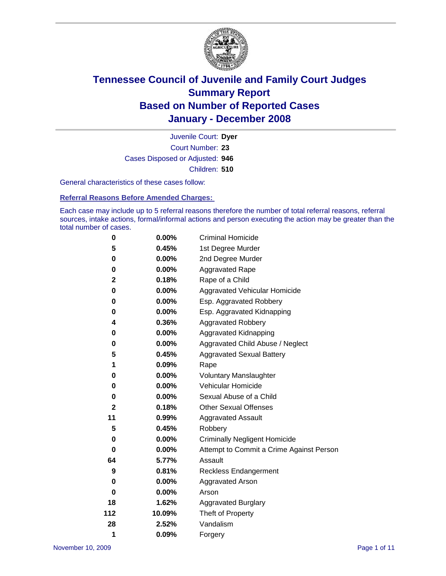

Court Number: **23** Juvenile Court: **Dyer** Cases Disposed or Adjusted: **946** Children: **510**

General characteristics of these cases follow:

**Referral Reasons Before Amended Charges:** 

Each case may include up to 5 referral reasons therefore the number of total referral reasons, referral sources, intake actions, formal/informal actions and person executing the action may be greater than the total number of cases.

| 0           | $0.00\%$ | <b>Criminal Homicide</b>                 |
|-------------|----------|------------------------------------------|
| 5           | 0.45%    | 1st Degree Murder                        |
| 0           | $0.00\%$ | 2nd Degree Murder                        |
| 0           | 0.00%    | <b>Aggravated Rape</b>                   |
| $\mathbf 2$ | 0.18%    | Rape of a Child                          |
| 0           | 0.00%    | <b>Aggravated Vehicular Homicide</b>     |
| 0           | 0.00%    | Esp. Aggravated Robbery                  |
| 0           | 0.00%    | Esp. Aggravated Kidnapping               |
| 4           | 0.36%    | Aggravated Robbery                       |
| 0           | 0.00%    | Aggravated Kidnapping                    |
| 0           | 0.00%    | Aggravated Child Abuse / Neglect         |
| 5           | 0.45%    | <b>Aggravated Sexual Battery</b>         |
| 1           | 0.09%    | Rape                                     |
| 0           | 0.00%    | <b>Voluntary Manslaughter</b>            |
| 0           | 0.00%    | Vehicular Homicide                       |
| 0           | $0.00\%$ | Sexual Abuse of a Child                  |
| $\mathbf 2$ | 0.18%    | <b>Other Sexual Offenses</b>             |
| 11          | 0.99%    | <b>Aggravated Assault</b>                |
| 5           | 0.45%    | Robbery                                  |
| 0           | $0.00\%$ | <b>Criminally Negligent Homicide</b>     |
| 0           | 0.00%    | Attempt to Commit a Crime Against Person |
| 64          | 5.77%    | Assault                                  |
| 9           | 0.81%    | <b>Reckless Endangerment</b>             |
| 0           | 0.00%    | <b>Aggravated Arson</b>                  |
| 0           | 0.00%    | Arson                                    |
| 18          | 1.62%    | <b>Aggravated Burglary</b>               |
| 112         | 10.09%   | Theft of Property                        |
| 28          | 2.52%    | Vandalism                                |
| 1           | 0.09%    | Forgery                                  |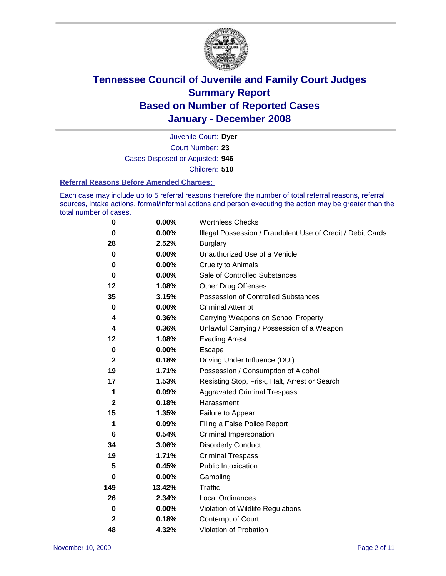

Court Number: **23** Juvenile Court: **Dyer** Cases Disposed or Adjusted: **946** Children: **510**

#### **Referral Reasons Before Amended Charges:**

Each case may include up to 5 referral reasons therefore the number of total referral reasons, referral sources, intake actions, formal/informal actions and person executing the action may be greater than the total number of cases.

| 0            | 0.00%    | <b>Worthless Checks</b>                                     |
|--------------|----------|-------------------------------------------------------------|
| 0            | 0.00%    | Illegal Possession / Fraudulent Use of Credit / Debit Cards |
| 28           | 2.52%    | <b>Burglary</b>                                             |
| 0            | $0.00\%$ | Unauthorized Use of a Vehicle                               |
| 0            | 0.00%    | <b>Cruelty to Animals</b>                                   |
| $\bf{0}$     | $0.00\%$ | Sale of Controlled Substances                               |
| 12           | 1.08%    | <b>Other Drug Offenses</b>                                  |
| 35           | 3.15%    | <b>Possession of Controlled Substances</b>                  |
| $\mathbf 0$  | 0.00%    | <b>Criminal Attempt</b>                                     |
| 4            | 0.36%    | Carrying Weapons on School Property                         |
| 4            | 0.36%    | Unlawful Carrying / Possession of a Weapon                  |
| 12           | 1.08%    | <b>Evading Arrest</b>                                       |
| $\mathbf 0$  | 0.00%    | Escape                                                      |
| $\mathbf{2}$ | 0.18%    | Driving Under Influence (DUI)                               |
| 19           | 1.71%    | Possession / Consumption of Alcohol                         |
| 17           | 1.53%    | Resisting Stop, Frisk, Halt, Arrest or Search               |
| 1            | 0.09%    | <b>Aggravated Criminal Trespass</b>                         |
| $\mathbf{2}$ | 0.18%    | Harassment                                                  |
| 15           | 1.35%    | Failure to Appear                                           |
| 1            | 0.09%    | Filing a False Police Report                                |
| 6            | 0.54%    | Criminal Impersonation                                      |
| 34           | 3.06%    | <b>Disorderly Conduct</b>                                   |
| 19           | 1.71%    | <b>Criminal Trespass</b>                                    |
| 5            | 0.45%    | <b>Public Intoxication</b>                                  |
| 0            | 0.00%    | Gambling                                                    |
| 149          | 13.42%   | Traffic                                                     |
| 26           | 2.34%    | Local Ordinances                                            |
| $\pmb{0}$    | 0.00%    | Violation of Wildlife Regulations                           |
| $\mathbf 2$  | 0.18%    | Contempt of Court                                           |
| 48           | 4.32%    | Violation of Probation                                      |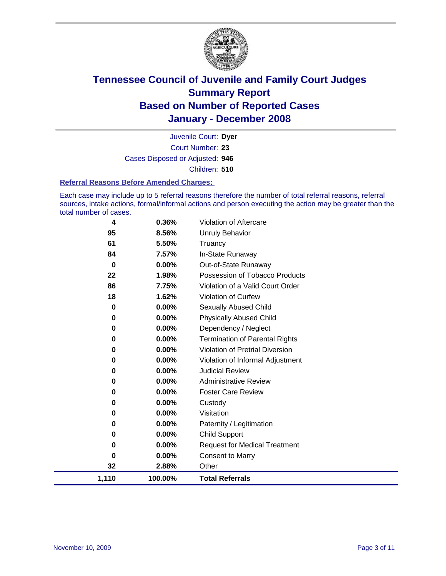

Court Number: **23** Juvenile Court: **Dyer** Cases Disposed or Adjusted: **946** Children: **510**

#### **Referral Reasons Before Amended Charges:**

Each case may include up to 5 referral reasons therefore the number of total referral reasons, referral sources, intake actions, formal/informal actions and person executing the action may be greater than the total number of cases.

| 4        | 0.36%    | Violation of Aftercare                 |
|----------|----------|----------------------------------------|
| 95       | 8.56%    | <b>Unruly Behavior</b>                 |
| 61       | 5.50%    | Truancy                                |
| 84       | 7.57%    | In-State Runaway                       |
| $\bf{0}$ | $0.00\%$ | Out-of-State Runaway                   |
| 22       | 1.98%    | Possession of Tobacco Products         |
| 86       | 7.75%    | Violation of a Valid Court Order       |
| 18       | 1.62%    | Violation of Curfew                    |
| 0        | 0.00%    | <b>Sexually Abused Child</b>           |
| 0        | 0.00%    | <b>Physically Abused Child</b>         |
| 0        | 0.00%    | Dependency / Neglect                   |
| 0        | 0.00%    | <b>Termination of Parental Rights</b>  |
| 0        | 0.00%    | <b>Violation of Pretrial Diversion</b> |
| 0        | 0.00%    | Violation of Informal Adjustment       |
| 0        | 0.00%    | <b>Judicial Review</b>                 |
| 0        | 0.00%    | <b>Administrative Review</b>           |
| 0        | 0.00%    | <b>Foster Care Review</b>              |
| 0        | 0.00%    | Custody                                |
| 0        | 0.00%    | Visitation                             |
| 0        | 0.00%    | Paternity / Legitimation               |
| 0        | $0.00\%$ | <b>Child Support</b>                   |
| 0        | $0.00\%$ | <b>Request for Medical Treatment</b>   |
| 0        | 0.00%    | <b>Consent to Marry</b>                |
| 32       | 2.88%    | Other                                  |
| 1,110    | 100.00%  | <b>Total Referrals</b>                 |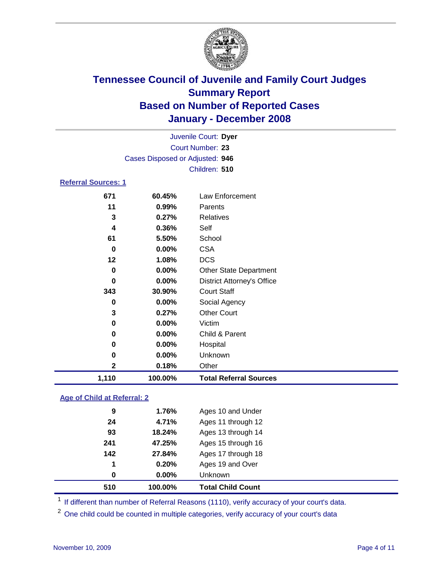

| Juvenile Court: Dyer       |                                 |                               |  |  |  |  |  |
|----------------------------|---------------------------------|-------------------------------|--|--|--|--|--|
| <b>Court Number: 23</b>    |                                 |                               |  |  |  |  |  |
|                            | Cases Disposed or Adjusted: 946 |                               |  |  |  |  |  |
|                            |                                 | Children: 510                 |  |  |  |  |  |
| <b>Referral Sources: 1</b> |                                 |                               |  |  |  |  |  |
| 671                        | 60.45%                          | Law Enforcement               |  |  |  |  |  |
| 11                         | $0.99\%$                        | Parents                       |  |  |  |  |  |
| 3                          | 0.27%                           | Relatives                     |  |  |  |  |  |
| 4                          | 0.36%                           | Self                          |  |  |  |  |  |
| 61                         | 5.50%                           | School                        |  |  |  |  |  |
| 0                          | $0.00\%$                        | <b>CSA</b>                    |  |  |  |  |  |
| $12 \,$                    | 1.08%                           | <b>DCS</b>                    |  |  |  |  |  |
| 0                          | $0.00\%$                        | <b>Other State Department</b> |  |  |  |  |  |
| Û                          | <u>____</u>                     | $\mathsf{D}_{\mathsf{in}}$    |  |  |  |  |  |

| 1,110 | 100.00%  | <b>Total Referral Sources</b>     |
|-------|----------|-----------------------------------|
| 2     | 0.18%    | Other                             |
| 0     | 0.00%    | Unknown                           |
| 0     | 0.00%    | Hospital                          |
| 0     | 0.00%    | Child & Parent                    |
| 0     | 0.00%    | Victim                            |
| 3     | 0.27%    | <b>Other Court</b>                |
| 0     | $0.00\%$ | Social Agency                     |
| 343   | 30.90%   | <b>Court Staff</b>                |
| 0     | 0.00%    | <b>District Attorney's Office</b> |
| 0     | $0.00\%$ | <b>Other State Department</b>     |

### **Age of Child at Referral: 2**

| 510 | 100.00% | <b>Total Child Count</b> |
|-----|---------|--------------------------|
| 0   | 0.00%   | Unknown                  |
| 1   | 0.20%   | Ages 19 and Over         |
| 142 | 27.84%  | Ages 17 through 18       |
| 241 | 47.25%  | Ages 15 through 16       |
| 93  | 18.24%  | Ages 13 through 14       |
| 24  | 4.71%   | Ages 11 through 12       |
| 9   | 1.76%   | Ages 10 and Under        |
|     |         |                          |

<sup>1</sup> If different than number of Referral Reasons (1110), verify accuracy of your court's data.

<sup>2</sup> One child could be counted in multiple categories, verify accuracy of your court's data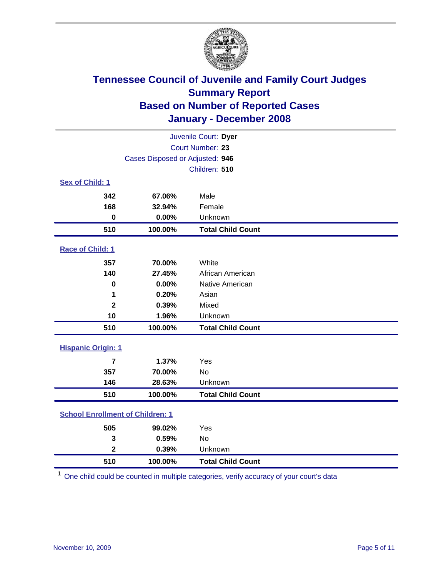

| Juvenile Court: Dyer                    |                                 |                          |  |  |  |
|-----------------------------------------|---------------------------------|--------------------------|--|--|--|
|                                         | Court Number: 23                |                          |  |  |  |
|                                         | Cases Disposed or Adjusted: 946 |                          |  |  |  |
|                                         |                                 | Children: 510            |  |  |  |
| Sex of Child: 1                         |                                 |                          |  |  |  |
| 342                                     | 67.06%                          | Male                     |  |  |  |
| 168                                     | 32.94%                          | Female                   |  |  |  |
| $\bf{0}$                                | 0.00%                           | Unknown                  |  |  |  |
| 510                                     | 100.00%                         | <b>Total Child Count</b> |  |  |  |
| <b>Race of Child: 1</b>                 |                                 |                          |  |  |  |
| 357                                     | 70.00%                          | White                    |  |  |  |
| 140                                     | 27.45%                          | African American         |  |  |  |
| $\bf{0}$                                | 0.00%                           | Native American          |  |  |  |
| 1                                       | 0.20%                           | Asian                    |  |  |  |
| $\overline{\mathbf{2}}$                 | 0.39%                           | Mixed                    |  |  |  |
| 10                                      | 1.96%                           | Unknown                  |  |  |  |
| 510                                     | 100.00%                         | <b>Total Child Count</b> |  |  |  |
| <b>Hispanic Origin: 1</b>               |                                 |                          |  |  |  |
| $\overline{7}$                          | 1.37%                           | Yes                      |  |  |  |
| 357                                     | 70.00%                          | <b>No</b>                |  |  |  |
| 146                                     | 28.63%                          | Unknown                  |  |  |  |
| 510                                     | 100.00%                         | <b>Total Child Count</b> |  |  |  |
| <b>School Enrollment of Children: 1</b> |                                 |                          |  |  |  |
| 505                                     | 99.02%                          | Yes                      |  |  |  |
| 3                                       | 0.59%                           | No                       |  |  |  |
| $\overline{\mathbf{2}}$                 | 0.39%                           | Unknown                  |  |  |  |
| 510                                     | 100.00%                         | <b>Total Child Count</b> |  |  |  |

One child could be counted in multiple categories, verify accuracy of your court's data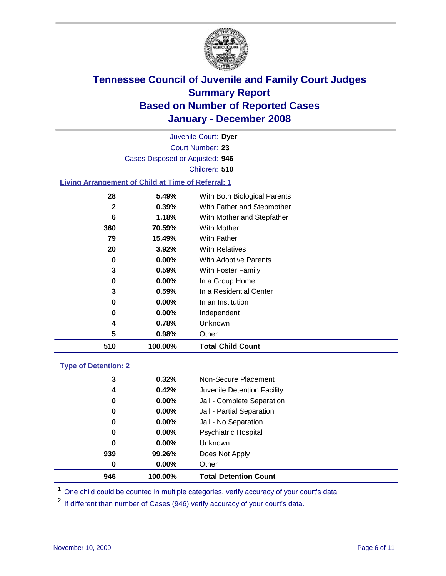

Court Number: **23** Juvenile Court: **Dyer** Cases Disposed or Adjusted: **946** Children: **510**

### **Living Arrangement of Child at Time of Referral: 1**

| 510 | 100.00%  | <b>Total Child Count</b>     |
|-----|----------|------------------------------|
| 5   | 0.98%    | Other                        |
| 4   | 0.78%    | <b>Unknown</b>               |
| 0   | $0.00\%$ | Independent                  |
| 0   | $0.00\%$ | In an Institution            |
| 3   | 0.59%    | In a Residential Center      |
| 0   | 0.00%    | In a Group Home              |
| 3   | 0.59%    | With Foster Family           |
| 0   | $0.00\%$ | <b>With Adoptive Parents</b> |
| 20  | 3.92%    | <b>With Relatives</b>        |
| 79  | 15.49%   | <b>With Father</b>           |
| 360 | 70.59%   | With Mother                  |
| 6   | 1.18%    | With Mother and Stepfather   |
| 2   | 0.39%    | With Father and Stepmother   |
| 28  | 5.49%    | With Both Biological Parents |
|     |          |                              |

#### **Type of Detention: 2**

| 946 | 100.00%  | <b>Total Detention Count</b> |
|-----|----------|------------------------------|
| 0   | 0.00%    | Other                        |
| 939 | 99.26%   | Does Not Apply               |
| 0   | $0.00\%$ | <b>Unknown</b>               |
| 0   | $0.00\%$ | <b>Psychiatric Hospital</b>  |
| 0   | $0.00\%$ | Jail - No Separation         |
| 0   | $0.00\%$ | Jail - Partial Separation    |
| 0   | $0.00\%$ | Jail - Complete Separation   |
| 4   | 0.42%    | Juvenile Detention Facility  |
| 3   | 0.32%    | Non-Secure Placement         |
|     |          |                              |

<sup>1</sup> One child could be counted in multiple categories, verify accuracy of your court's data

<sup>2</sup> If different than number of Cases (946) verify accuracy of your court's data.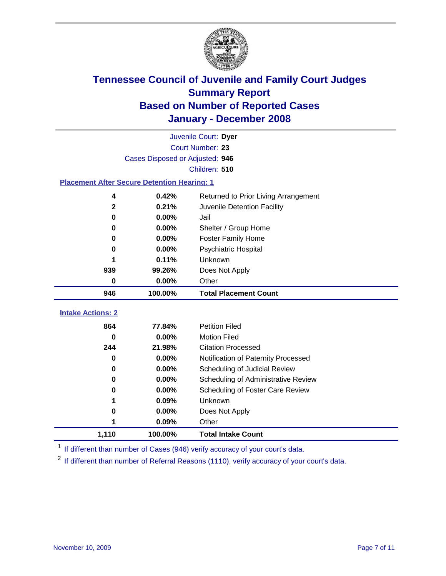

|                                                    | Juvenile Court: Dyer            |                                      |  |  |  |
|----------------------------------------------------|---------------------------------|--------------------------------------|--|--|--|
|                                                    | Court Number: 23                |                                      |  |  |  |
|                                                    | Cases Disposed or Adjusted: 946 |                                      |  |  |  |
|                                                    |                                 | Children: 510                        |  |  |  |
| <b>Placement After Secure Detention Hearing: 1</b> |                                 |                                      |  |  |  |
| 4                                                  | 0.42%                           | Returned to Prior Living Arrangement |  |  |  |
| $\mathbf 2$                                        | 0.21%                           | Juvenile Detention Facility          |  |  |  |
| 0                                                  | 0.00%                           | Jail                                 |  |  |  |
| 0                                                  | 0.00%                           | Shelter / Group Home                 |  |  |  |
| 0                                                  | 0.00%                           | <b>Foster Family Home</b>            |  |  |  |
| 0                                                  | 0.00%                           | Psychiatric Hospital                 |  |  |  |
| 1                                                  | 0.11%                           | Unknown                              |  |  |  |
| 939                                                | 99.26%                          | Does Not Apply                       |  |  |  |
| 0                                                  | 0.00%                           | Other                                |  |  |  |
| 946                                                | 100.00%                         | <b>Total Placement Count</b>         |  |  |  |
| <b>Intake Actions: 2</b>                           |                                 |                                      |  |  |  |
|                                                    |                                 |                                      |  |  |  |
| 864                                                | 77.84%                          | <b>Petition Filed</b>                |  |  |  |
| 0                                                  | 0.00%                           | <b>Motion Filed</b>                  |  |  |  |
| 244                                                | 21.98%                          | <b>Citation Processed</b>            |  |  |  |
| 0                                                  | 0.00%                           | Notification of Paternity Processed  |  |  |  |
| 0                                                  | 0.00%                           | Scheduling of Judicial Review        |  |  |  |
| 0                                                  | 0.00%                           | Scheduling of Administrative Review  |  |  |  |
| 0                                                  | 0.00%                           | Scheduling of Foster Care Review     |  |  |  |
| 1                                                  | 0.09%                           | Unknown                              |  |  |  |
| 0                                                  | 0.00%                           | Does Not Apply                       |  |  |  |
| 1                                                  | 0.09%                           | Other                                |  |  |  |
| 1,110                                              | 100.00%                         | <b>Total Intake Count</b>            |  |  |  |

<sup>1</sup> If different than number of Cases (946) verify accuracy of your court's data.

<sup>2</sup> If different than number of Referral Reasons (1110), verify accuracy of your court's data.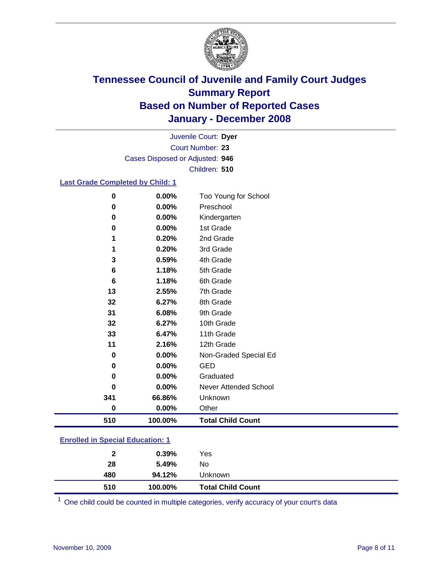

Court Number: **23** Juvenile Court: **Dyer** Cases Disposed or Adjusted: **946** Children: **510**

### **Last Grade Completed by Child: 1**

| 0         | 0.00%   | Too Young for School     |
|-----------|---------|--------------------------|
| 0         | 0.00%   | Preschool                |
| 0         | 0.00%   | Kindergarten             |
| 0         | 0.00%   | 1st Grade                |
|           | 0.20%   | 2nd Grade                |
| 1         | 0.20%   | 3rd Grade                |
| 3         | 0.59%   | 4th Grade                |
| 6         | 1.18%   | 5th Grade                |
| 6         | 1.18%   | 6th Grade                |
| 13        | 2.55%   | 7th Grade                |
| 32        | 6.27%   | 8th Grade                |
| 31        | 6.08%   | 9th Grade                |
| 32        | 6.27%   | 10th Grade               |
| 33        | 6.47%   | 11th Grade               |
| 11        | 2.16%   | 12th Grade               |
| 0         | 0.00%   | Non-Graded Special Ed    |
| 0         | 0.00%   | <b>GED</b>               |
| 0         | 0.00%   | Graduated                |
| 0         | 0.00%   | Never Attended School    |
| 341       | 66.86%  | Unknown                  |
| $\pmb{0}$ | 0.00%   | Other                    |
| 510       | 100.00% | <b>Total Child Count</b> |

### **Enrolled in Special Education: 1**

| 28<br>5.49%<br>No<br>480<br>94.12%<br>Unknown | $\mathbf{2}$ | 0.39%   | Yes                      |
|-----------------------------------------------|--------------|---------|--------------------------|
|                                               |              |         |                          |
|                                               | 510          | 100.00% | <b>Total Child Count</b> |

One child could be counted in multiple categories, verify accuracy of your court's data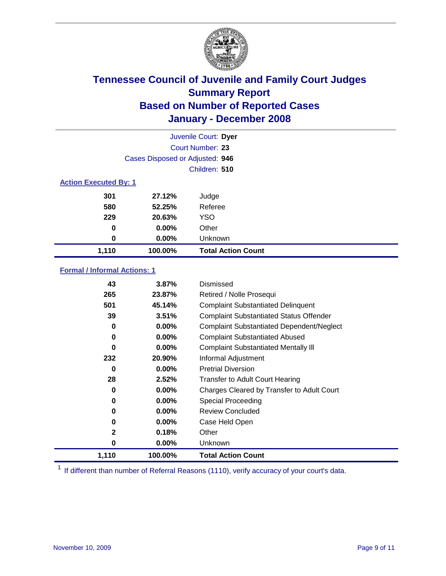

|                              |                                 | Juvenile Court: Dyer      |  |
|------------------------------|---------------------------------|---------------------------|--|
|                              | Court Number: 23                |                           |  |
|                              | Cases Disposed or Adjusted: 946 |                           |  |
|                              |                                 | Children: 510             |  |
| <b>Action Executed By: 1</b> |                                 |                           |  |
| 301                          | 27.12%                          | Judge                     |  |
| 580                          | 52.25%                          | Referee                   |  |
| 229                          | 20.63%                          | <b>YSO</b>                |  |
| 0                            | $0.00\%$                        | Other                     |  |
| 0                            | $0.00\%$                        | Unknown                   |  |
| 1,110                        | 100.00%                         | <b>Total Action Count</b> |  |

### **Formal / Informal Actions: 1**

| 43           | 3.87%    | Dismissed                                        |
|--------------|----------|--------------------------------------------------|
| 265          | 23.87%   | Retired / Nolle Prosequi                         |
| 501          | 45.14%   | <b>Complaint Substantiated Delinquent</b>        |
| 39           | 3.51%    | <b>Complaint Substantiated Status Offender</b>   |
| 0            | $0.00\%$ | <b>Complaint Substantiated Dependent/Neglect</b> |
| 0            | $0.00\%$ | <b>Complaint Substantiated Abused</b>            |
| 0            | $0.00\%$ | <b>Complaint Substantiated Mentally III</b>      |
| 232          | 20.90%   | Informal Adjustment                              |
| 0            | $0.00\%$ | <b>Pretrial Diversion</b>                        |
| 28           | 2.52%    | <b>Transfer to Adult Court Hearing</b>           |
| 0            | $0.00\%$ | Charges Cleared by Transfer to Adult Court       |
| 0            | $0.00\%$ | Special Proceeding                               |
| 0            | $0.00\%$ | <b>Review Concluded</b>                          |
| 0            | $0.00\%$ | Case Held Open                                   |
| $\mathbf{2}$ | 0.18%    | Other                                            |
| 0            | $0.00\%$ | <b>Unknown</b>                                   |
| 1,110        | 100.00%  | <b>Total Action Count</b>                        |

<sup>1</sup> If different than number of Referral Reasons (1110), verify accuracy of your court's data.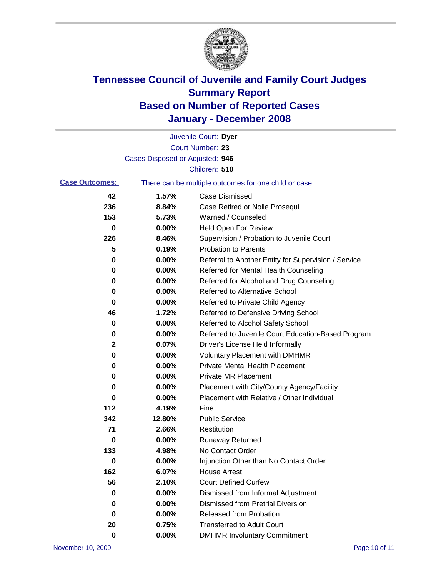

|                       |                                 | Juvenile Court: Dyer                                  |
|-----------------------|---------------------------------|-------------------------------------------------------|
|                       |                                 | Court Number: 23                                      |
|                       | Cases Disposed or Adjusted: 946 |                                                       |
|                       |                                 | Children: 510                                         |
| <b>Case Outcomes:</b> |                                 | There can be multiple outcomes for one child or case. |
| 42                    | 1.57%                           | <b>Case Dismissed</b>                                 |
| 236                   | 8.84%                           | Case Retired or Nolle Prosequi                        |
| 153                   | 5.73%                           | Warned / Counseled                                    |
| 0                     | 0.00%                           | <b>Held Open For Review</b>                           |
| 226                   | 8.46%                           | Supervision / Probation to Juvenile Court             |
| 5                     | 0.19%                           | <b>Probation to Parents</b>                           |
| 0                     | 0.00%                           | Referral to Another Entity for Supervision / Service  |
| 0                     | 0.00%                           | Referred for Mental Health Counseling                 |
| 0                     | 0.00%                           | Referred for Alcohol and Drug Counseling              |
| 0                     | 0.00%                           | <b>Referred to Alternative School</b>                 |
| 0                     | 0.00%                           | Referred to Private Child Agency                      |
| 46                    | 1.72%                           | Referred to Defensive Driving School                  |
| 0                     | 0.00%                           | Referred to Alcohol Safety School                     |
| 0                     | 0.00%                           | Referred to Juvenile Court Education-Based Program    |
| 2                     | 0.07%                           | Driver's License Held Informally                      |
| 0                     | 0.00%                           | <b>Voluntary Placement with DMHMR</b>                 |
| 0                     | 0.00%                           | <b>Private Mental Health Placement</b>                |
| 0                     | 0.00%                           | <b>Private MR Placement</b>                           |
| 0                     | 0.00%                           | Placement with City/County Agency/Facility            |
| 0                     | 0.00%                           | Placement with Relative / Other Individual            |
| 112                   | 4.19%                           | Fine                                                  |
| 342                   | 12.80%                          | <b>Public Service</b>                                 |
| 71                    | 2.66%                           | Restitution                                           |
| 0                     | 0.00%                           | <b>Runaway Returned</b>                               |
| 133                   | 4.98%                           | No Contact Order                                      |
| 0                     | 0.00%                           | Injunction Other than No Contact Order                |
| 162                   | 6.07%                           | <b>House Arrest</b>                                   |
| 56                    | 2.10%                           | <b>Court Defined Curfew</b>                           |
| 0                     | 0.00%                           | Dismissed from Informal Adjustment                    |
| 0                     | 0.00%                           | <b>Dismissed from Pretrial Diversion</b>              |
| 0                     | 0.00%                           | <b>Released from Probation</b>                        |
| 20                    | 0.75%                           | <b>Transferred to Adult Court</b>                     |
| 0                     | $0.00\%$                        | <b>DMHMR Involuntary Commitment</b>                   |